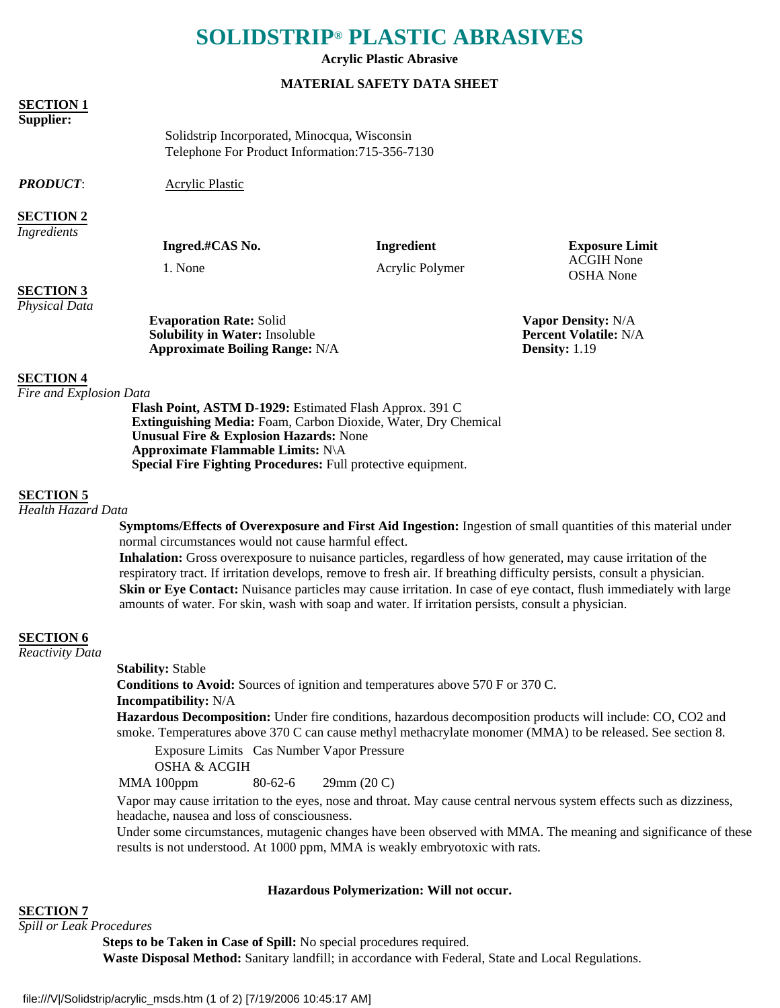# **SOLIDSTRIP® PLASTIC ABRASIVES**

**Acrylic Plastic Abrasive**

#### **MATERIAL SAFETY DATA SHEET**

#### **SECTION 1**

#### **Supplier:**

Solidstrip Incorporated, Minocqua, Wisconsin Telephone For Product Information:715-356-7130

*PRODUCT*: Acrylic Plastic

## **SECTION 2**

*Ingredients*

**Ingred.#CAS No. Ingredient Exposure Limit**

1. None Acrylic Polymer ACGIH None OSHA None

# **SECTION 3**

*Physical Data*

| <b>Evaporation Rate: Solid</b>        |  |
|---------------------------------------|--|
| <b>Solubility in Water: Insoluble</b> |  |
| <b>Approximate Boiling Range: N/A</b> |  |

**Fapor Density:** N/A **Percent Volatile:** N/A **Density:** 1.19

# **SECTION 4**

*Fire and Explosion Data*

**Flash Point, ASTM D-1929:** Estimated Flash Approx. 391 C **Extinguishing Media:** Foam, Carbon Dioxide, Water, Dry Chemical **Unusual Fire & Explosion Hazards:** None **Approximate Flammable Limits:** N\A **Special Fire Fighting Procedures:** Full protective equipment.

#### **SECTION 5**

*Health Hazard Data*

**Symptoms/Effects of Overexposure and First Aid Ingestion:** Ingestion of small quantities of this material under normal circumstances would not cause harmful effect.

**Inhalation:** Gross overexposure to nuisance particles, regardless of how generated, may cause irritation of the respiratory tract. If irritation develops, remove to fresh air. If breathing difficulty persists, consult a physician. **Skin or Eye Contact:** Nuisance particles may cause irritation. In case of eye contact, flush immediately with large amounts of water. For skin, wash with soap and water. If irritation persists, consult a physician.

# **SECTION 6**

*Reactivity Data*

#### **Stability:** Stable

**Conditions to Avoid:** Sources of ignition and temperatures above 570 F or 370 C. **Incompatibility:** N/A

**Hazardous Decomposition:** Under fire conditions, hazardous decomposition products will include: CO, CO2 and smoke. Temperatures above 370 C can cause methyl methacrylate monomer (MMA) to be released. See section 8.

Exposure Limits Cas Number Vapor Pressure

OSHA & ACGIH

MMA 100ppm 80-62-6 29mm (20 C)

Vapor may cause irritation to the eyes, nose and throat. May cause central nervous system effects such as dizziness, headache, nausea and loss of consciousness.

Under some circumstances, mutagenic changes have been observed with MMA. The meaning and significance of these results is not understood. At 1000 ppm, MMA is weakly embryotoxic with rats.

#### **Hazardous Polymerization: Will not occur.**

**SECTION 7**

*Spill or Leak Procedures*

**Steps to be Taken in Case of Spill:** No special procedures required. **Waste Disposal Method:** Sanitary landfill; in accordance with Federal, State and Local Regulations.